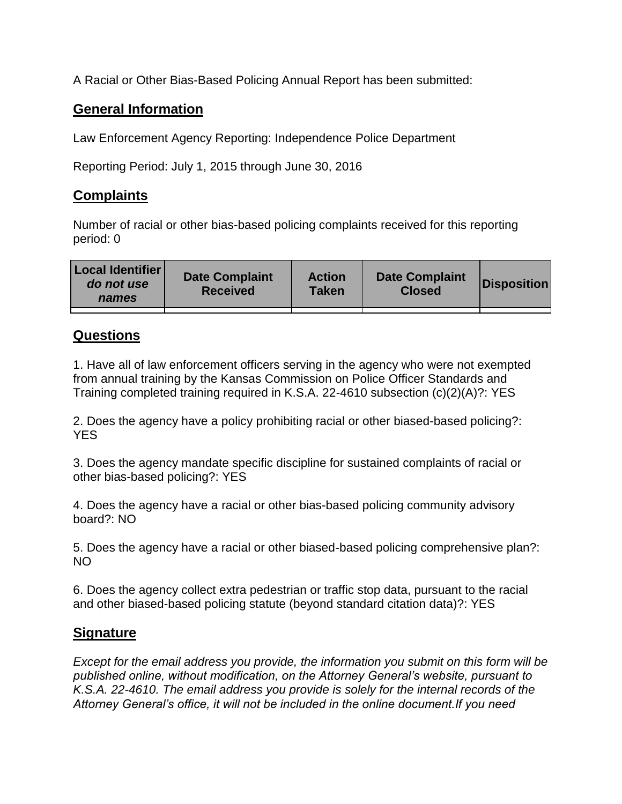A Racial or Other Bias-Based Policing Annual Report has been submitted:

## **General Information**

Law Enforcement Agency Reporting: Independence Police Department

Reporting Period: July 1, 2015 through June 30, 2016

## **Complaints**

Number of racial or other bias-based policing complaints received for this reporting period: 0

| <b>Local Identifier</b><br>do not use<br>names | <b>Date Complaint</b><br><b>Received</b> | <b>Action</b><br><b>Taken</b> | <b>Date Complaint</b><br><b>Closed</b> | Disposition |
|------------------------------------------------|------------------------------------------|-------------------------------|----------------------------------------|-------------|
|                                                |                                          |                               |                                        |             |

## **Questions**

1. Have all of law enforcement officers serving in the agency who were not exempted from annual training by the Kansas Commission on Police Officer Standards and Training completed training required in K.S.A. 22-4610 subsection (c)(2)(A)?: YES

2. Does the agency have a policy prohibiting racial or other biased-based policing?: YES

3. Does the agency mandate specific discipline for sustained complaints of racial or other bias-based policing?: YES

4. Does the agency have a racial or other bias-based policing community advisory board?: NO

5. Does the agency have a racial or other biased-based policing comprehensive plan?: NO

6. Does the agency collect extra pedestrian or traffic stop data, pursuant to the racial and other biased-based policing statute (beyond standard citation data)?: YES

## **Signature**

*Except for the email address you provide, the information you submit on this form will be published online, without modification, on the Attorney General's website, pursuant to K.S.A. 22-4610. The email address you provide is solely for the internal records of the Attorney General's office, it will not be included in the online document.If you need*